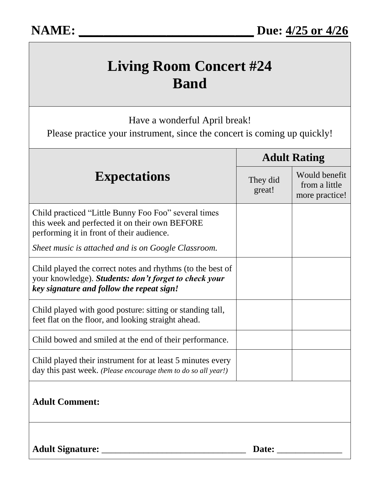## **Living Room Concert #24 Band**

Have a wonderful April break!

Please practice your instrument, since the concert is coming up quickly!

| <b>Expectations</b>                                                                                                                                              | <b>Adult Rating</b> |                                                  |
|------------------------------------------------------------------------------------------------------------------------------------------------------------------|---------------------|--------------------------------------------------|
|                                                                                                                                                                  | They did<br>great!  | Would benefit<br>from a little<br>more practice! |
| Child practiced "Little Bunny Foo Foo" several times<br>this week and perfected it on their own BEFORE<br>performing it in front of their audience.              |                     |                                                  |
| Sheet music is attached and is on Google Classroom.                                                                                                              |                     |                                                  |
| Child played the correct notes and rhythms (to the best of<br>your knowledge). Students: don't forget to check your<br>key signature and follow the repeat sign! |                     |                                                  |
| Child played with good posture: sitting or standing tall,<br>feet flat on the floor, and looking straight ahead.                                                 |                     |                                                  |
| Child bowed and smiled at the end of their performance.                                                                                                          |                     |                                                  |
| Child played their instrument for at least 5 minutes every<br>day this past week. (Please encourage them to do so all year!)                                     |                     |                                                  |
| <b>Adult Comment:</b>                                                                                                                                            |                     |                                                  |
| <b>Adult Signature:</b>                                                                                                                                          | Date:               |                                                  |